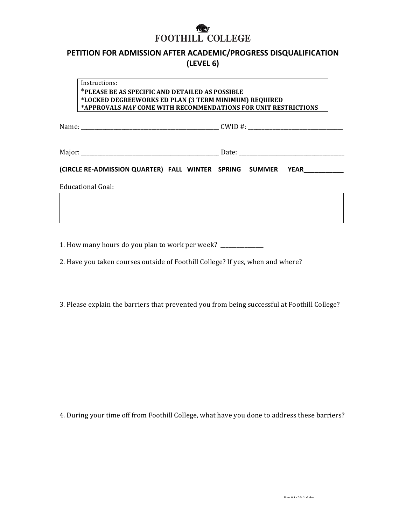## **Rev**

## **PETITION FOR ADMISSION AFTER ACADEMIC/PROGRESS DISQUALIFICATION (LEVEL 6)**

## Instructions: \***PLEASE BE AS SPECIFIC AND DETAILED AS POSSIBLE \*LOCKED DEGREEWORKS ED PLAN (3 TERM MINIMUM) REQUIRED \*APPROVALS** *MAY* **COME WITH RECOMMENDATIONS FOR UNIT RESTRICTIONS**

Name: \_\_\_\_\_\_\_\_\_\_\_\_\_\_\_\_\_\_\_\_\_\_\_\_\_\_\_\_\_\_\_\_\_\_\_\_\_\_\_\_\_\_\_\_\_\_\_\_\_\_\_ CWID #: \_\_\_\_\_\_\_\_\_\_\_\_\_\_\_\_\_\_\_\_\_\_\_\_\_\_\_\_\_\_\_\_\_\_\_

Major: \_\_\_\_\_\_\_\_\_\_\_\_\_\_\_\_\_\_\_\_\_\_\_\_\_\_\_\_\_\_\_\_\_\_\_\_\_\_\_\_\_\_\_\_\_\_\_\_\_\_\_ Date: \_\_\_\_\_\_\_\_\_\_\_\_\_\_\_\_\_\_\_\_\_\_\_\_\_\_\_\_\_\_\_\_\_\_\_\_\_\_\_

**(CIRCLE RE-ADMISSION QUARTER) FALL WINTER SPRING SUMMER YEAR** 

Educational Goal:

1. How many hours do you plan to work per week?

2. Have you taken courses outside of Foothill College? If yes, when and where?

3. Please explain the barriers that prevented you from being successful at Foothill College?

4. During your time off from Foothill College, what have you done to address these barriers?